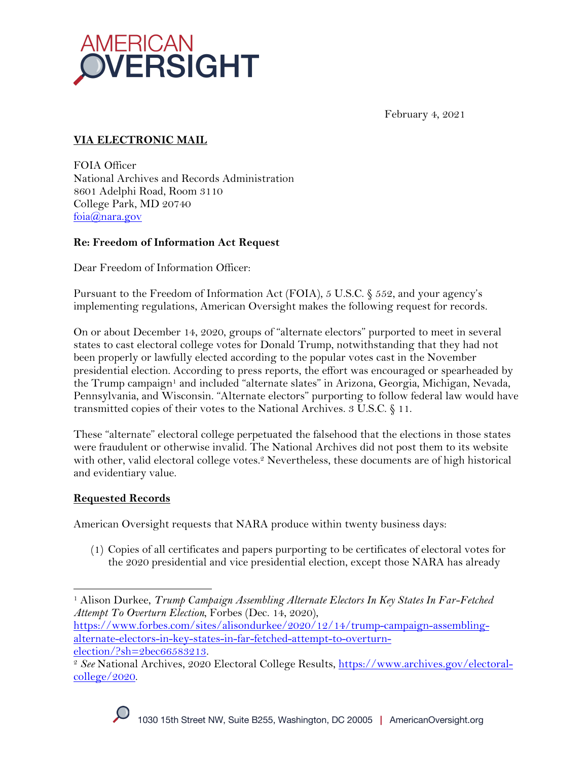

February 4, 2021

# **VIA ELECTRONIC MAIL**

FOIA Officer National Archives and Records Administration 8601 Adelphi Road, Room 3110 College Park, MD 20740 foia@nara.gov

## **Re: Freedom of Information Act Request**

Dear Freedom of Information Officer:

Pursuant to the Freedom of Information Act (FOIA), 5 U.S.C. § 552, and your agency's implementing regulations, American Oversight makes the following request for records.

On or about December 14, 2020, groups of "alternate electors" purported to meet in several states to cast electoral college votes for Donald Trump, notwithstanding that they had not been properly or lawfully elected according to the popular votes cast in the November presidential election. According to press reports, the effort was encouraged or spearheaded by the Trump campaign<sup>1</sup> and included "alternate slates" in Arizona, Georgia, Michigan, Nevada, Pennsylvania, and Wisconsin. "Alternate electors" purporting to follow federal law would have transmitted copies of their votes to the National Archives. 3 U.S.C. § 11.

These "alternate" electoral college perpetuated the falsehood that the elections in those states were fraudulent or otherwise invalid. The National Archives did not post them to its website with other, valid electoral college votes.<sup>2</sup> Nevertheless, these documents are of high historical and evidentiary value.

## **Requested Records**

American Oversight requests that NARA produce within twenty business days:

(1) Copies of all certificates and papers purporting to be certificates of electoral votes for the 2020 presidential and vice presidential election, except those NARA has already

alternate-electors-in-key-states-in-far-fetched-attempt-to-overturn-<br>election/?sh=2bec66583213.

<sup>&</sup>lt;sup>2</sup> See National Archives, 2020 Electoral College Results, https://www.archives.gov/electoralcollege/2020.



<sup>1</sup> Alison Durkee, *Trump Campaign Assembling Alternate Electors In Key States In Far-Fetched Attempt To Overturn Election*, Forbes (Dec. 14, 2020), https://www.forbes.com/sites/alisondurkee/2020/12/14/trump-campaign-assembling-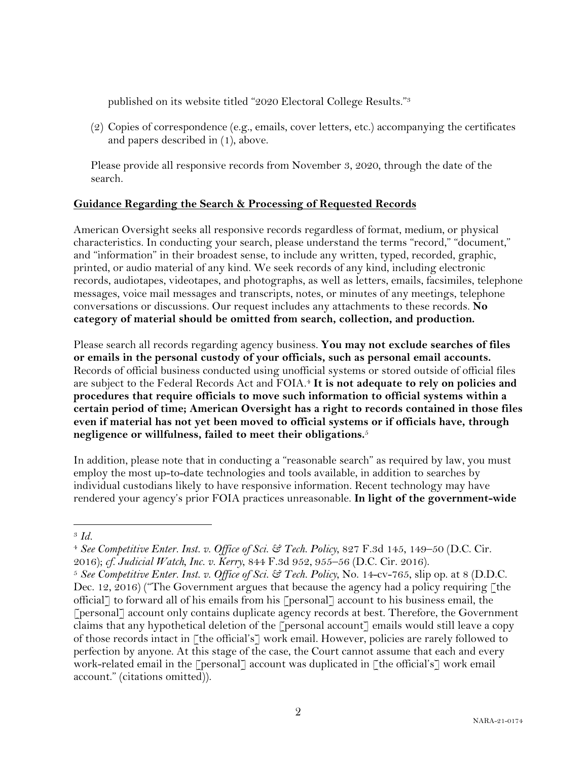published on its website titled "2020 Electoral College Results."3

(2) Copies of correspondence (e.g., emails, cover letters, etc.) accompanying the certificates and papers described in (1), above.

Please provide all responsive records from November 3, 2020, through the date of the search.

## **Guidance Regarding the Search & Processing of Requested Records**

American Oversight seeks all responsive records regardless of format, medium, or physical characteristics. In conducting your search, please understand the terms "record," "document," and "information" in their broadest sense, to include any written, typed, recorded, graphic, printed, or audio material of any kind. We seek records of any kind, including electronic records, audiotapes, videotapes, and photographs, as well as letters, emails, facsimiles, telephone messages, voice mail messages and transcripts, notes, or minutes of any meetings, telephone conversations or discussions. Our request includes any attachments to these records. **No category of material should be omitted from search, collection, and production.**

Please search all records regarding agency business. **You may not exclude searches of files or emails in the personal custody of your officials, such as personal email accounts.**  Records of official business conducted using unofficial systems or stored outside of official files are subject to the Federal Records Act and FOIA.<sup>4</sup> It is not adequate to rely on policies and **procedures that require officials to move such information to official systems within a certain period of time; American Oversight has a right to records contained in those files even if material has not yet been moved to official systems or if officials have, through negligence or willfulness, failed to meet their obligations.**<sup>5</sup>

In addition, please note that in conducting a "reasonable search" as required by law, you must employ the most up-to-date technologies and tools available, in addition to searches by individual custodians likely to have responsive information. Recent technology may have rendered your agency's prior FOIA practices unreasonable. **In light of the government-wide** 

<sup>3</sup> *Id.*

<sup>4</sup> *See Competitive Enter. Inst. v. Office of Sci. & Tech. Policy*, 827 F.3d 145, 149–50 (D.C. Cir. 2016); *cf. Judicial Watch, Inc. v. Kerry*, 844 F.3d 952, 955–56 (D.C. Cir. 2016).

<sup>5</sup> *See Competitive Enter. Inst. v. Office of Sci. & Tech. Policy*, No. 14-cv-765, slip op. at 8 (D.D.C. Dec. 12, 2016) ("The Government argues that because the agency had a policy requiring  $\lceil \text{the} \rceil$ official] to forward all of his emails from his [personal] account to his business email, the [personal] account only contains duplicate agency records at best. Therefore, the Government claims that any hypothetical deletion of the  $\lceil$  personal account $\rceil$  emails would still leave a copy of those records intact in [the official's] work email. However, policies are rarely followed to perfection by anyone. At this stage of the case, the Court cannot assume that each and every work-related email in the [personal] account was duplicated in [the official's] work email account." (citations omitted)).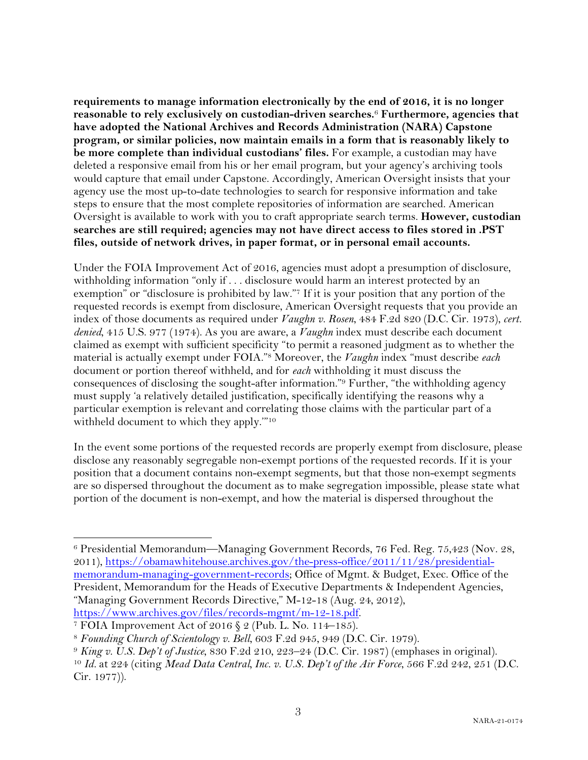**requirements to manage information electronically by the end of 2016, it is no longer reasonable to rely exclusively on custodian-driven searches.**<sup>6</sup> **Furthermore, agencies that have adopted the National Archives and Records Administration (NARA) Capstone program, or similar policies, now maintain emails in a form that is reasonably likely to be more complete than individual custodians' files.** For example, a custodian may have deleted a responsive email from his or her email program, but your agency's archiving tools would capture that email under Capstone. Accordingly, American Oversight insists that your agency use the most up-to-date technologies to search for responsive information and take steps to ensure that the most complete repositories of information are searched. American Oversight is available to work with you to craft appropriate search terms. **However, custodian searches are still required; agencies may not have direct access to files stored in .PST files, outside of network drives, in paper format, or in personal email accounts.**

Under the FOIA Improvement Act of 2016, agencies must adopt a presumption of disclosure, withholding information "only if . . . disclosure would harm an interest protected by an exemption" or "disclosure is prohibited by law."7 If it is your position that any portion of the requested records is exempt from disclosure, American Oversight requests that you provide an index of those documents as required under *Vaughn v. Rosen*, 484 F.2d 820 (D.C. Cir. 1973), *cert. denied*, 415 U.S. 977 (1974). As you are aware, a *Vaughn* index must describe each document claimed as exempt with sufficient specificity "to permit a reasoned judgment as to whether the material is actually exempt under FOIA."8 Moreover, the *Vaughn* index "must describe *each* document or portion thereof withheld, and for *each* withholding it must discuss the consequences of disclosing the sought-after information."9 Further, "the withholding agency must supply 'a relatively detailed justification, specifically identifying the reasons why a particular exemption is relevant and correlating those claims with the particular part of a withheld document to which they apply.'"10

In the event some portions of the requested records are properly exempt from disclosure, please disclose any reasonably segregable non-exempt portions of the requested records. If it is your position that a document contains non-exempt segments, but that those non-exempt segments are so dispersed throughout the document as to make segregation impossible, please state what portion of the document is non-exempt, and how the material is dispersed throughout the

<sup>6</sup> Presidential Memorandum—Managing Government Records, 76 Fed. Reg. 75,423 (Nov. 28, 2011), https://obamawhitehouse.archives.gov/the-press-office/2011/11/28/presidentialmemorandum-managing-government-records; Office of Mgmt. & Budget, Exec. Office of the President, Memorandum for the Heads of Executive Departments & Independent Agencies, "Managing Government Records Directive," M-12-18 (Aug. 24, 2012), https://www.archives.gov/files/records-mgmt/m-12-18.pdf. 7 FOIA Improvement Act of 2016 § 2 (Pub. L. No. 114–185).

<sup>8</sup> *Founding Church of Scientology v. Bell*, 603 F.2d 945, 949 (D.C. Cir. 1979).

<sup>9</sup> *King v. U.S. Dep't of Justice*, 830 F.2d 210, 223–24 (D.C. Cir. 1987) (emphases in original).

<sup>10</sup> *Id.* at 224 (citing *Mead Data Central, Inc. v. U.S. Dep't of the Air Force*, 566 F.2d 242, 251 (D.C. Cir. 1977)).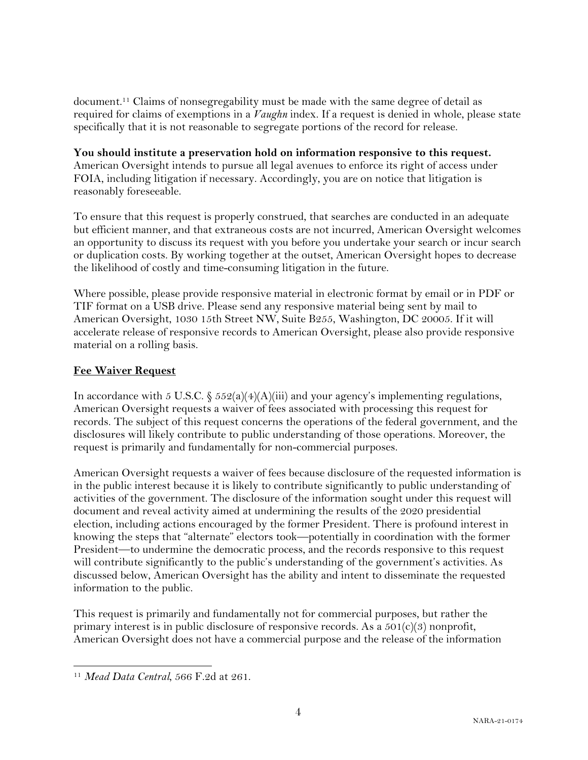document.11 Claims of nonsegregability must be made with the same degree of detail as required for claims of exemptions in a *Vaughn* index. If a request is denied in whole, please state specifically that it is not reasonable to segregate portions of the record for release.

**You should institute a preservation hold on information responsive to this request.**  American Oversight intends to pursue all legal avenues to enforce its right of access under FOIA, including litigation if necessary. Accordingly, you are on notice that litigation is reasonably foreseeable.

To ensure that this request is properly construed, that searches are conducted in an adequate but efficient manner, and that extraneous costs are not incurred, American Oversight welcomes an opportunity to discuss its request with you before you undertake your search or incur search or duplication costs. By working together at the outset, American Oversight hopes to decrease the likelihood of costly and time-consuming litigation in the future.

Where possible, please provide responsive material in electronic format by email or in PDF or TIF format on a USB drive. Please send any responsive material being sent by mail to American Oversight, 1030 15th Street NW, Suite B255, Washington, DC 20005. If it will accelerate release of responsive records to American Oversight, please also provide responsive material on a rolling basis.

#### **Fee Waiver Request**

In accordance with 5 U.S.C.  $\frac{552(a)(4)(A)(iii)}{3}$  and your agency's implementing regulations, American Oversight requests a waiver of fees associated with processing this request for records. The subject of this request concerns the operations of the federal government, and the disclosures will likely contribute to public understanding of those operations. Moreover, the request is primarily and fundamentally for non-commercial purposes.

American Oversight requests a waiver of fees because disclosure of the requested information is in the public interest because it is likely to contribute significantly to public understanding of activities of the government. The disclosure of the information sought under this request will document and reveal activity aimed at undermining the results of the 2020 presidential election, including actions encouraged by the former President. There is profound interest in knowing the steps that "alternate" electors took—potentially in coordination with the former President—to undermine the democratic process, and the records responsive to this request will contribute significantly to the public's understanding of the government's activities. As discussed below, American Oversight has the ability and intent to disseminate the requested information to the public.

This request is primarily and fundamentally not for commercial purposes, but rather the primary interest is in public disclosure of responsive records. As a  $501(c)(3)$  nonprofit, American Oversight does not have a commercial purpose and the release of the information

<sup>11</sup> *Mead Data Central*, 566 F.2d at 261.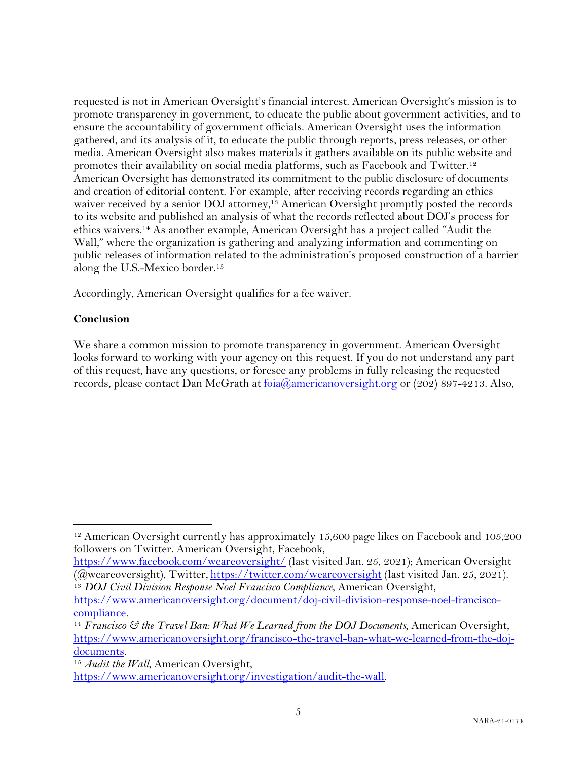requested is not in American Oversight's financial interest. American Oversight's mission is to promote transparency in government, to educate the public about government activities, and to ensure the accountability of government officials. American Oversight uses the information gathered, and its analysis of it, to educate the public through reports, press releases, or other media. American Oversight also makes materials it gathers available on its public website and promotes their availability on social media platforms, such as Facebook and Twitter.12 American Oversight has demonstrated its commitment to the public disclosure of documents and creation of editorial content. For example, after receiving records regarding an ethics waiver received by a senior DOJ attorney,<sup>13</sup> American Oversight promptly posted the records to its website and published an analysis of what the records reflected about DOJ's process for ethics waivers.14 As another example, American Oversight has a project called "Audit the Wall," where the organization is gathering and analyzing information and commenting on public releases of information related to the administration's proposed construction of a barrier along the U.S.-Mexico border.15

Accordingly, American Oversight qualifies for a fee waiver.

#### **Conclusion**

We share a common mission to promote transparency in government. American Oversight looks forward to working with your agency on this request. If you do not understand any part of this request, have any questions, or foresee any problems in fully releasing the requested records, please contact Dan McGrath at foia@americanoversight.org or (202) 897-4213. Also,

<sup>&</sup>lt;sup>12</sup> American Oversight currently has approximately 15,600 page likes on Facebook and 105,200 followers on Twitter. American Oversight, Facebook,

https://www.facebook.com/weareoversight/ (last visited Jan. 25, 2021); American Oversight (@weareoversight), Twitter, https://twitter.com/weareoversight (last visited Jan. 25, 2021).

<sup>13</sup> *DOJ Civil Division Response Noel Francisco Compliance*, American Oversight,

https://www.americanoversight.org/document/doj-civil-division-response-noel-franciscocompliance*.*

<sup>14</sup> *Francisco & the Travel Ban: What We Learned from the DOJ Documents*, American Oversight, https://www.americanoversight.org/francisco-the-travel-ban-what-we-learned-from-the-dojdocuments.

<sup>15</sup> *Audit the Wall*, American Oversight, https://www.americanoversight.org/investigation/audit-the-wall.